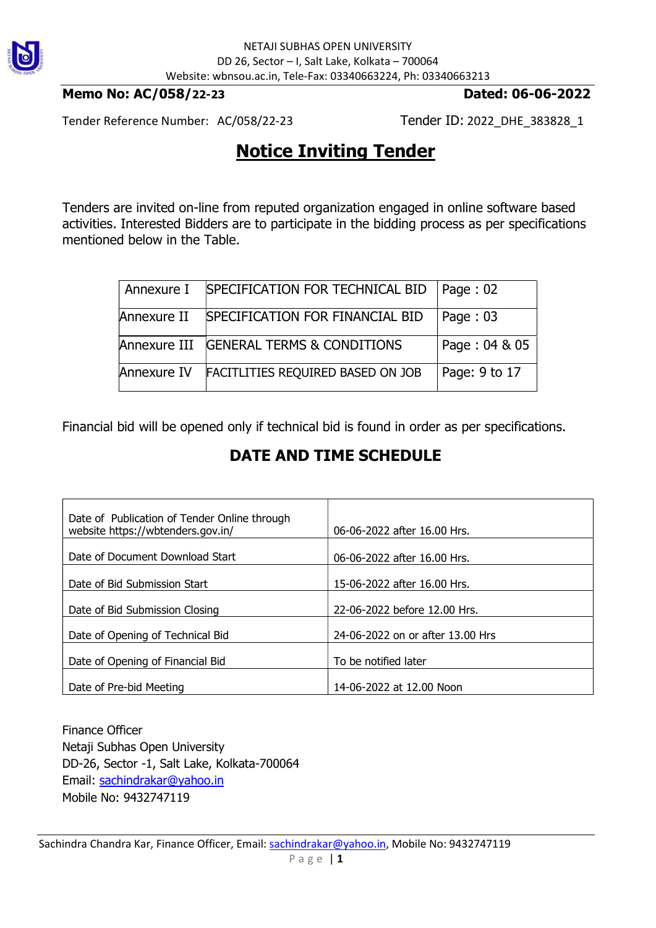

### Memo No: AC/058/22-23 Dated: 06-06-2022

Tender Reference Number: AC/058/22-23 Tender ID: 2022\_DHE\_383828\_1

## Notice Inviting Tender

Tenders are invited on-line from reputed organization engaged in online software based activities. Interested Bidders are to participate in the bidding process as per specifications mentioned below in the Table.

| Annexure I  | SPECIFICATION FOR TECHNICAL BID          | Paqe:02       |
|-------------|------------------------------------------|---------------|
| Annexure II | SPECIFICATION FOR FINANCIAL BID          | Page: $03$    |
|             | Annexure III GENERAL TERMS & CONDITIONS  | Page: 04 & 05 |
| Annexure IV | <b>FACITLITIES REQUIRED BASED ON JOB</b> | Page: 9 to 17 |

Financial bid will be opened only if technical bid is found in order as per specifications.

## DATE AND TIME SCHEDULE

| Date of Publication of Tender Online through<br>website https://wbtenders.gov.in/ | 06-06-2022 after 16.00 Hrs.      |
|-----------------------------------------------------------------------------------|----------------------------------|
| Date of Document Download Start                                                   | 06-06-2022 after 16.00 Hrs.      |
| Date of Bid Submission Start                                                      | 15-06-2022 after 16.00 Hrs.      |
| Date of Bid Submission Closing                                                    | 22-06-2022 before 12.00 Hrs.     |
| Date of Opening of Technical Bid                                                  | 24-06-2022 on or after 13.00 Hrs |
| Date of Opening of Financial Bid                                                  | To be notified later             |
| Date of Pre-bid Meeting                                                           | 14-06-2022 at 12.00 Noon         |

Finance Officer Netaji Subhas Open University DD-26, Sector -1, Salt Lake, Kolkata-700064 Email: sachindrakar@yahoo.in Mobile No: 9432747119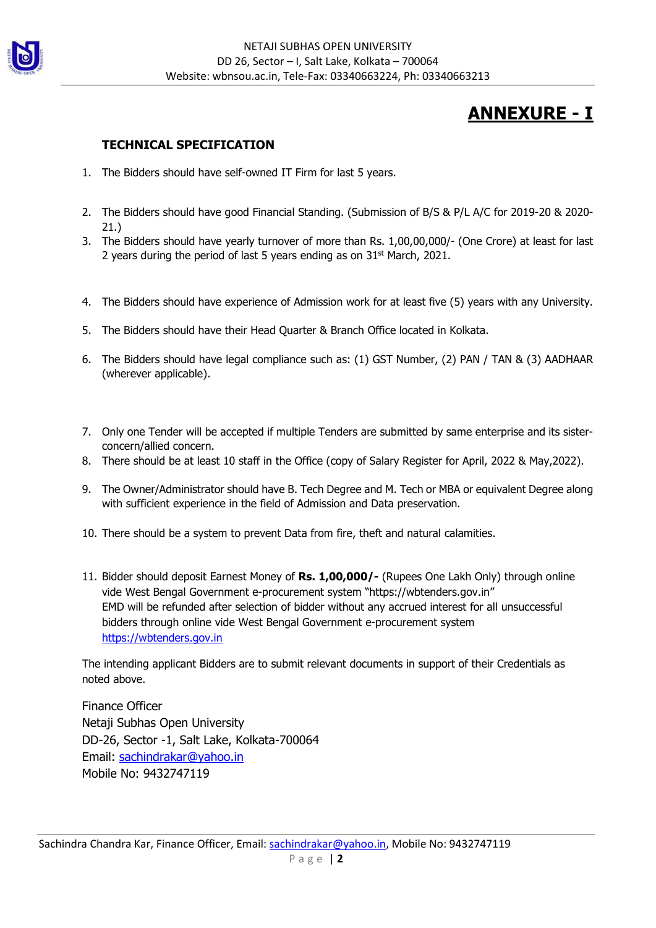

# ANNEXURE - I

### TECHNICAL SPECIFICATION

- 1. The Bidders should have self-owned IT Firm for last 5 years.
- 2. The Bidders should have good Financial Standing. (Submission of B/S & P/L A/C for 2019-20 & 2020- 21.)
- 3. The Bidders should have yearly turnover of more than Rs. 1,00,00,000/- (One Crore) at least for last 2 years during the period of last 5 years ending as on  $31<sup>st</sup>$  March, 2021.
- 4. The Bidders should have experience of Admission work for at least five (5) years with any University.
- 5. The Bidders should have their Head Quarter & Branch Office located in Kolkata.
- 6. The Bidders should have legal compliance such as: (1) GST Number, (2) PAN / TAN & (3) AADHAAR (wherever applicable).
- 7. Only one Tender will be accepted if multiple Tenders are submitted by same enterprise and its sisterconcern/allied concern.
- 8. There should be at least 10 staff in the Office (copy of Salary Register for April, 2022 & May,2022).
- 9. The Owner/Administrator should have B. Tech Degree and M. Tech or MBA or equivalent Degree along with sufficient experience in the field of Admission and Data preservation.
- 10. There should be a system to prevent Data from fire, theft and natural calamities.
- 11. Bidder should deposit Earnest Money of Rs. 1,00,000/- (Rupees One Lakh Only) through online vide West Bengal Government e-procurement system "https://wbtenders.gov.in" EMD will be refunded after selection of bidder without any accrued interest for all unsuccessful bidders through online vide West Bengal Government e-procurement system https://wbtenders.gov.in

The intending applicant Bidders are to submit relevant documents in support of their Credentials as noted above.

Finance Officer Netaji Subhas Open University DD-26, Sector -1, Salt Lake, Kolkata-700064 Email: sachindrakar@yahoo.in Mobile No: 9432747119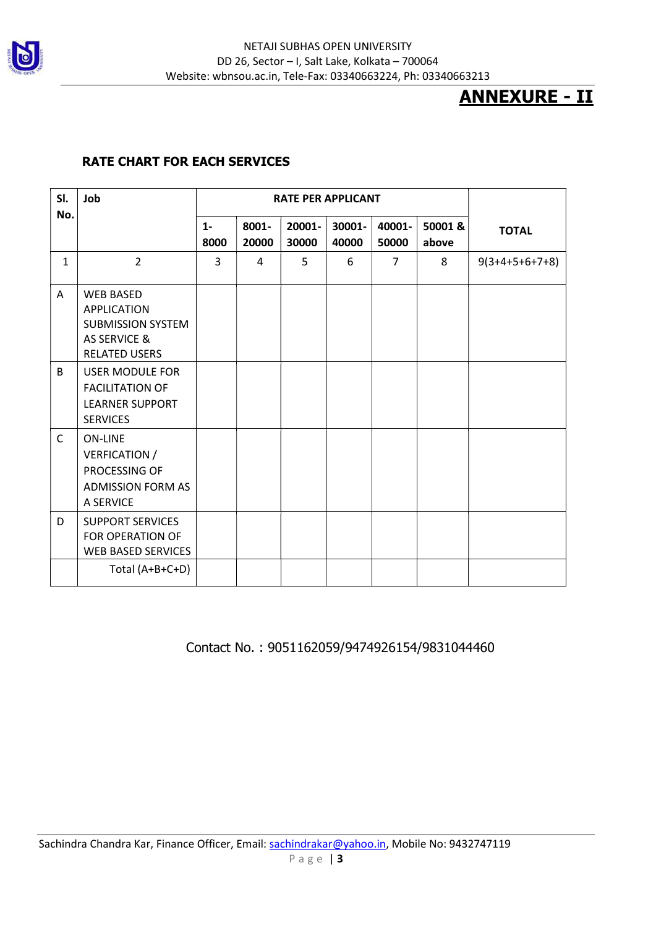

# ANNEXURE - II

### RATE CHART FOR EACH SERVICES

| SI.          | Job                                                                                                                   | <b>RATE PER APPLICANT</b> |                |                 |                 |                 |                 |                  |
|--------------|-----------------------------------------------------------------------------------------------------------------------|---------------------------|----------------|-----------------|-----------------|-----------------|-----------------|------------------|
| No.          |                                                                                                                       | $1 -$<br>8000             | 8001-<br>20000 | 20001-<br>30000 | 30001-<br>40000 | 40001-<br>50000 | 50001&<br>above | <b>TOTAL</b>     |
| $\mathbf{1}$ | $\overline{2}$                                                                                                        | 3                         | 4              | 5               | 6               | $\overline{7}$  | 8               | $9(3+4+5+6+7+8)$ |
| A            | <b>WEB BASED</b><br><b>APPLICATION</b><br><b>SUBMISSION SYSTEM</b><br><b>AS SERVICE &amp;</b><br><b>RELATED USERS</b> |                           |                |                 |                 |                 |                 |                  |
| B            | <b>USER MODULE FOR</b><br><b>FACILITATION OF</b><br><b>LEARNER SUPPORT</b><br><b>SERVICES</b>                         |                           |                |                 |                 |                 |                 |                  |
| $\mathsf{C}$ | <b>ON-LINE</b><br>VERFICATION /<br>PROCESSING OF<br><b>ADMISSION FORM AS</b><br>A SERVICE                             |                           |                |                 |                 |                 |                 |                  |
| D            | <b>SUPPORT SERVICES</b><br>FOR OPERATION OF<br><b>WEB BASED SERVICES</b>                                              |                           |                |                 |                 |                 |                 |                  |
|              | Total (A+B+C+D)                                                                                                       |                           |                |                 |                 |                 |                 |                  |

### Contact No. : 9051162059/9474926154/9831044460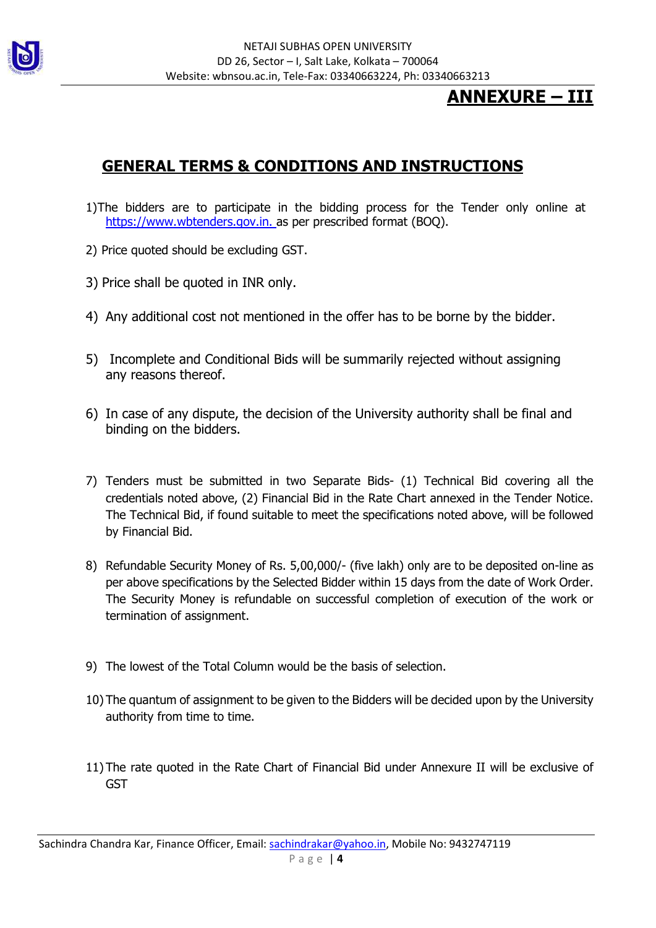

## ANNEXURE – III

## GENERAL TERMS & CONDITIONS AND INSTRUCTIONS

- 1)The bidders are to participate in the bidding process for the Tender only online at https://www.wbtenders.gov.in. as per prescribed format (BOQ).
- 2) Price quoted should be excluding GST.
- 3) Price shall be quoted in INR only.
- 4) Any additional cost not mentioned in the offer has to be borne by the bidder.
- 5) Incomplete and Conditional Bids will be summarily rejected without assigning any reasons thereof.
- 6) In case of any dispute, the decision of the University authority shall be final and binding on the bidders.
- 7) Tenders must be submitted in two Separate Bids- (1) Technical Bid covering all the credentials noted above, (2) Financial Bid in the Rate Chart annexed in the Tender Notice. The Technical Bid, if found suitable to meet the specifications noted above, will be followed by Financial Bid.
- 8) Refundable Security Money of Rs. 5,00,000/- (five lakh) only are to be deposited on-line as per above specifications by the Selected Bidder within 15 days from the date of Work Order. The Security Money is refundable on successful completion of execution of the work or termination of assignment.
- 9) The lowest of the Total Column would be the basis of selection.
- 10) The quantum of assignment to be given to the Bidders will be decided upon by the University authority from time to time.
- 11) The rate quoted in the Rate Chart of Financial Bid under Annexure II will be exclusive of **GST**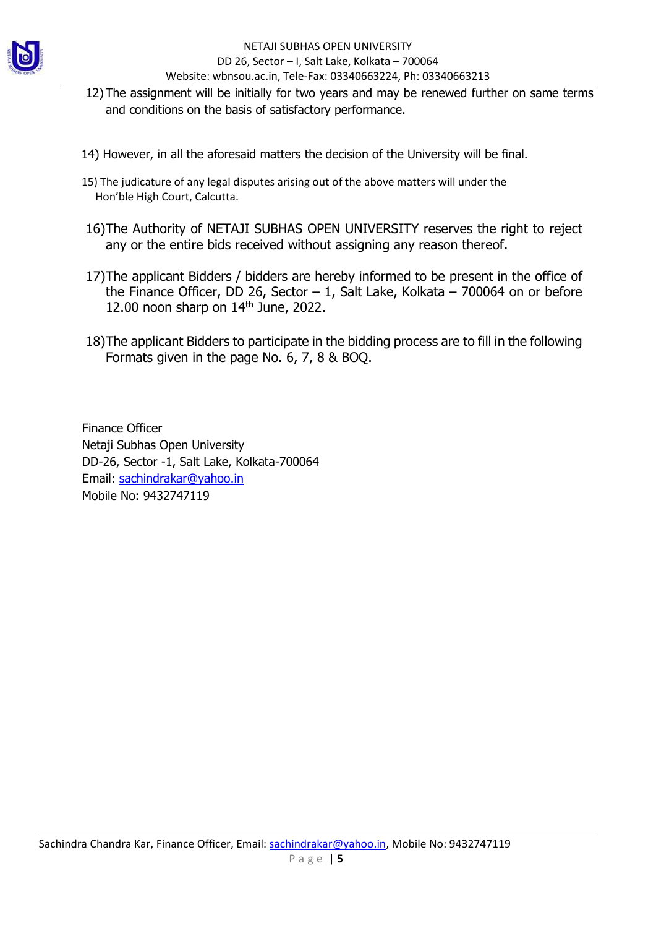

- 12) The assignment will be initially for two years and may be renewed further on same terms and conditions on the basis of satisfactory performance.
- 14) However, in all the aforesaid matters the decision of the University will be final.
- 15) The judicature of any legal disputes arising out of the above matters will under the Hon'ble High Court, Calcutta.
- 16)The Authority of NETAJI SUBHAS OPEN UNIVERSITY reserves the right to reject any or the entire bids received without assigning any reason thereof.
- 17)The applicant Bidders / bidders are hereby informed to be present in the office of the Finance Officer, DD 26, Sector  $-1$ , Salt Lake, Kolkata  $-700064$  on or before 12.00 noon sharp on  $14<sup>th</sup>$  June, 2022.
- 18)The applicant Bidders to participate in the bidding process are to fill in the following Formats given in the page No. 6, 7, 8 & BOQ.

Finance Officer Netaji Subhas Open University DD-26, Sector -1, Salt Lake, Kolkata-700064 Email: sachindrakar@yahoo.in Mobile No: 9432747119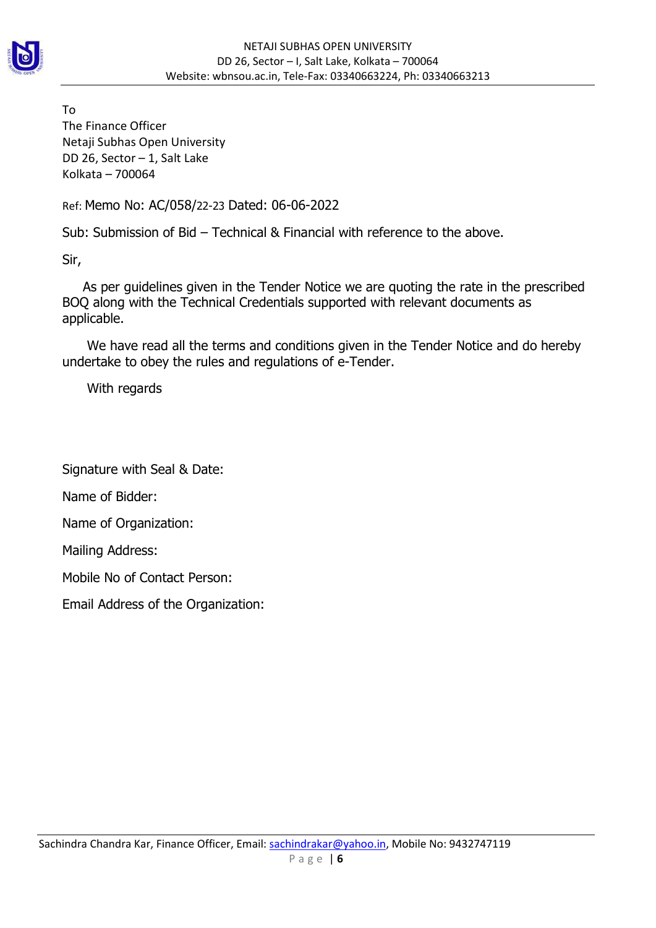

To The Finance Officer Netaji Subhas Open University DD 26, Sector – 1, Salt Lake Kolkata – 700064

Ref: Memo No: AC/058/22-23 Dated: 06-06-2022

Sub: Submission of Bid – Technical & Financial with reference to the above.

Sir,

 As per guidelines given in the Tender Notice we are quoting the rate in the prescribed BOQ along with the Technical Credentials supported with relevant documents as applicable.

 We have read all the terms and conditions given in the Tender Notice and do hereby undertake to obey the rules and regulations of e-Tender.

With regards

Signature with Seal & Date:

Name of Bidder:

Name of Organization:

Mailing Address:

Mobile No of Contact Person:

Email Address of the Organization: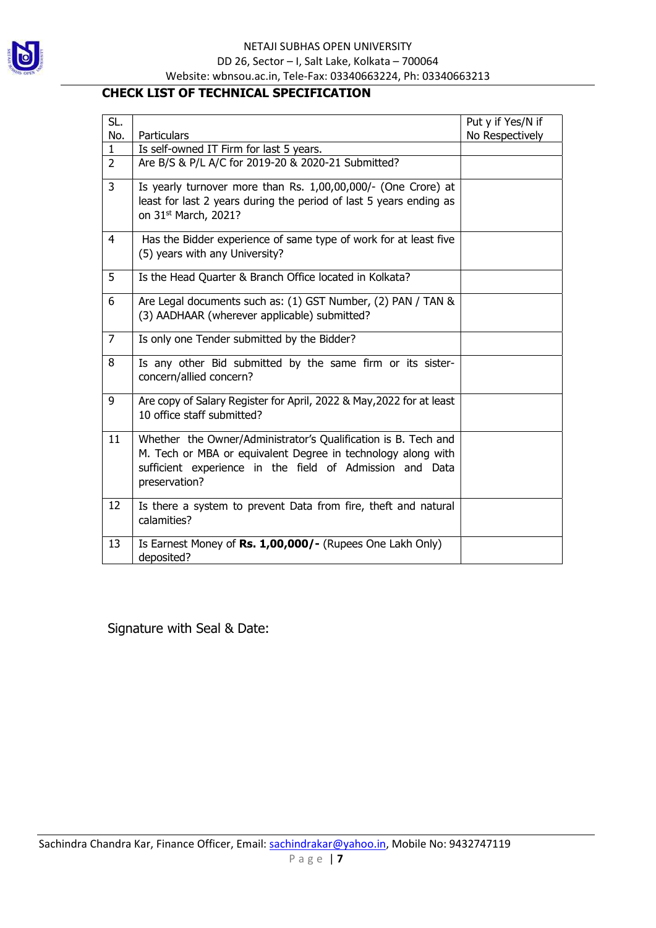

### CHECK LIST OF TECHNICAL SPECIFICATION

| SL.            |                                                                                                                                     | Put y if Yes/N if |
|----------------|-------------------------------------------------------------------------------------------------------------------------------------|-------------------|
| No.            | Particulars                                                                                                                         | No Respectively   |
| $\mathbf{1}$   | Is self-owned IT Firm for last 5 years.                                                                                             |                   |
| $\overline{2}$ | Are B/S & P/L A/C for 2019-20 & 2020-21 Submitted?                                                                                  |                   |
| 3              | Is yearly turnover more than Rs. 1,00,00,000/- (One Crore) at<br>least for last 2 years during the period of last 5 years ending as |                   |
|                | on 31 <sup>st</sup> March, 2021?                                                                                                    |                   |
| $\overline{4}$ | Has the Bidder experience of same type of work for at least five                                                                    |                   |
|                | (5) years with any University?                                                                                                      |                   |
| 5              | Is the Head Quarter & Branch Office located in Kolkata?                                                                             |                   |
| 6              | Are Legal documents such as: (1) GST Number, (2) PAN / TAN &                                                                        |                   |
|                | (3) AADHAAR (wherever applicable) submitted?                                                                                        |                   |
| $\overline{7}$ | Is only one Tender submitted by the Bidder?                                                                                         |                   |
| 8              | Is any other Bid submitted by the same firm or its sister-<br>concern/allied concern?                                               |                   |
|                |                                                                                                                                     |                   |
| 9              | Are copy of Salary Register for April, 2022 & May, 2022 for at least<br>10 office staff submitted?                                  |                   |
|                |                                                                                                                                     |                   |
| 11             | Whether the Owner/Administrator's Qualification is B. Tech and                                                                      |                   |
|                | M. Tech or MBA or equivalent Degree in technology along with                                                                        |                   |
|                | sufficient experience in the field of Admission and Data                                                                            |                   |
|                | preservation?                                                                                                                       |                   |
| 12             | Is there a system to prevent Data from fire, theft and natural                                                                      |                   |
|                | calamities?                                                                                                                         |                   |
| 13             | Is Earnest Money of Rs. 1,00,000/- (Rupees One Lakh Only)                                                                           |                   |
|                | deposited?                                                                                                                          |                   |

Signature with Seal & Date: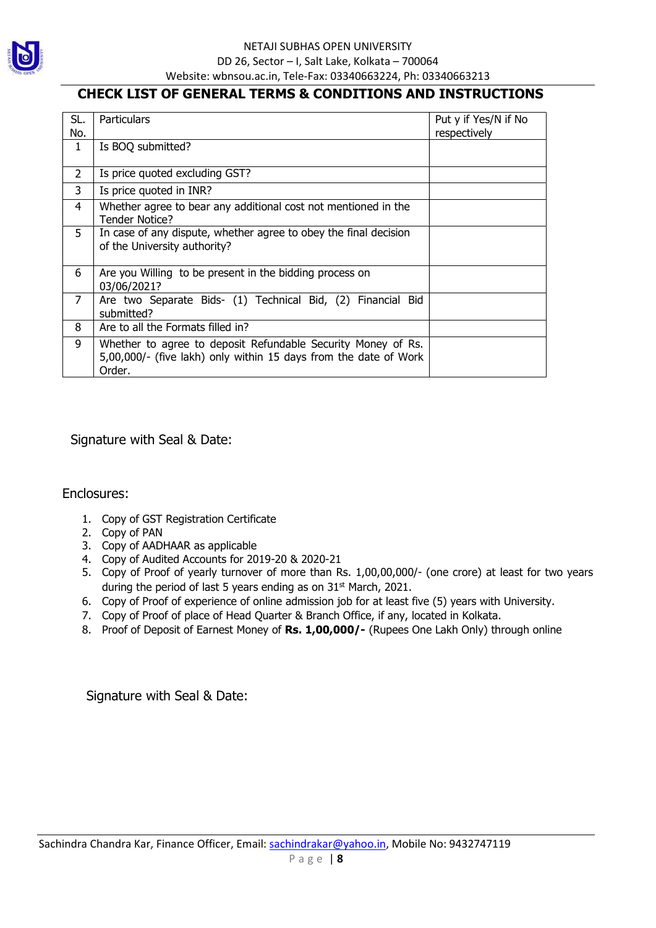

### CHECK LIST OF GENERAL TERMS & CONDITIONS AND INSTRUCTIONS

| SL.<br>No.     | Particulars                                                                                                                                | Put y if Yes/N if No<br>respectively |
|----------------|--------------------------------------------------------------------------------------------------------------------------------------------|--------------------------------------|
| $\mathbf{1}$   | Is BOQ submitted?                                                                                                                          |                                      |
| $\overline{2}$ | Is price quoted excluding GST?                                                                                                             |                                      |
| 3              | Is price quoted in INR?                                                                                                                    |                                      |
| 4              | Whether agree to bear any additional cost not mentioned in the<br><b>Tender Notice?</b>                                                    |                                      |
| 5              | In case of any dispute, whether agree to obey the final decision<br>of the University authority?                                           |                                      |
| 6              | Are you Willing to be present in the bidding process on<br>03/06/2021?                                                                     |                                      |
| 7              | Are two Separate Bids- (1) Technical Bid, (2) Financial Bid<br>submitted?                                                                  |                                      |
| 8              | Are to all the Formats filled in?                                                                                                          |                                      |
| 9              | Whether to agree to deposit Refundable Security Money of Rs.<br>5,00,000/- (five lakh) only within 15 days from the date of Work<br>Order. |                                      |

Signature with Seal & Date:

Enclosures:

- 1. Copy of GST Registration Certificate
- 2. Copy of PAN
- 3. Copy of AADHAAR as applicable
- 4. Copy of Audited Accounts for 2019-20 & 2020-21
- 5. Copy of Proof of yearly turnover of more than Rs. 1,00,00,000/- (one crore) at least for two years during the period of last 5 years ending as on  $31<sup>st</sup>$  March, 2021.
- 6. Copy of Proof of experience of online admission job for at least five (5) years with University.
- 7. Copy of Proof of place of Head Quarter & Branch Office, if any, located in Kolkata.
- 8. Proof of Deposit of Earnest Money of Rs. 1,00,000/- (Rupees One Lakh Only) through online

Signature with Seal & Date: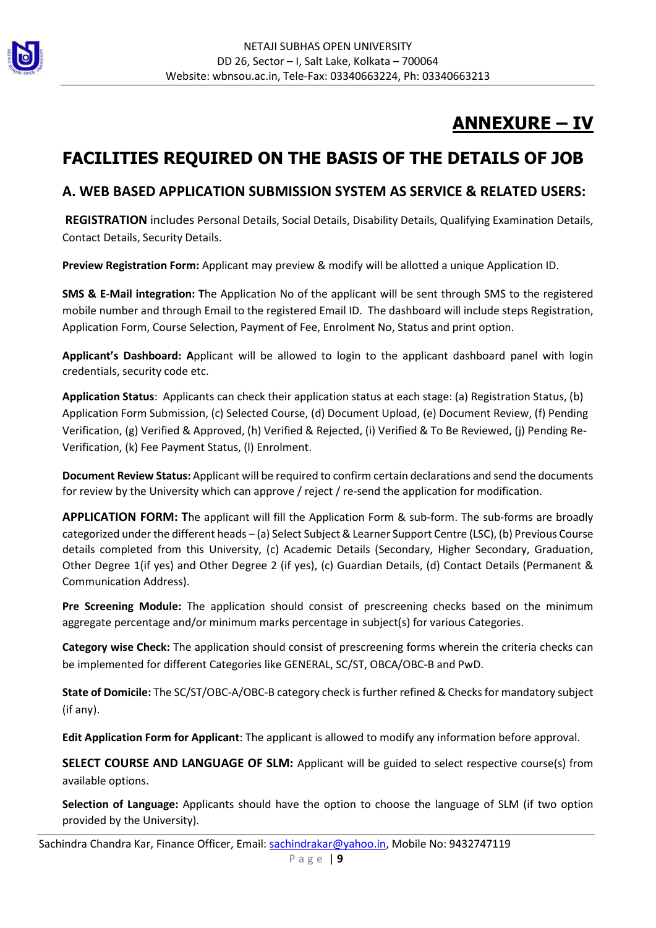

# ANNEXURE – IV

# FACILITIES REQUIRED ON THE BASIS OF THE DETAILS OF JOB

### A. WEB BASED APPLICATION SUBMISSION SYSTEM AS SERVICE & RELATED USERS:

 REGISTRATION includes Personal Details, Social Details, Disability Details, Qualifying Examination Details, Contact Details, Security Details.

Preview Registration Form: Applicant may preview & modify will be allotted a unique Application ID.

SMS & E-Mail integration: The Application No of the applicant will be sent through SMS to the registered mobile number and through Email to the registered Email ID. The dashboard will include steps Registration, Application Form, Course Selection, Payment of Fee, Enrolment No, Status and print option.

Applicant's Dashboard: Applicant will be allowed to login to the applicant dashboard panel with login credentials, security code etc.

Application Status: Applicants can check their application status at each stage: (a) Registration Status, (b) Application Form Submission, (c) Selected Course, (d) Document Upload, (e) Document Review, (f) Pending Verification, (g) Verified & Approved, (h) Verified & Rejected, (i) Verified & To Be Reviewed, (j) Pending Re-Verification, (k) Fee Payment Status, (l) Enrolment.

Document Review Status: Applicant will be required to confirm certain declarations and send the documents for review by the University which can approve / reject / re-send the application for modification.

APPLICATION FORM: The applicant will fill the Application Form & sub-form. The sub-forms are broadly categorized under the different heads – (a) Select Subject & Learner Support Centre (LSC), (b) Previous Course details completed from this University, (c) Academic Details (Secondary, Higher Secondary, Graduation, Other Degree 1(if yes) and Other Degree 2 (if yes), (c) Guardian Details, (d) Contact Details (Permanent & Communication Address).

Pre Screening Module: The application should consist of prescreening checks based on the minimum aggregate percentage and/or minimum marks percentage in subject(s) for various Categories.

Category wise Check: The application should consist of prescreening forms wherein the criteria checks can be implemented for different Categories like GENERAL, SC/ST, OBCA/OBC-B and PwD.

State of Domicile: The SC/ST/OBC-A/OBC-B category check is further refined & Checks for mandatory subject (if any).

Edit Application Form for Applicant: The applicant is allowed to modify any information before approval.

SELECT COURSE AND LANGUAGE OF SLM: Applicant will be guided to select respective course(s) from available options.

Selection of Language: Applicants should have the option to choose the language of SLM (if two option provided by the University).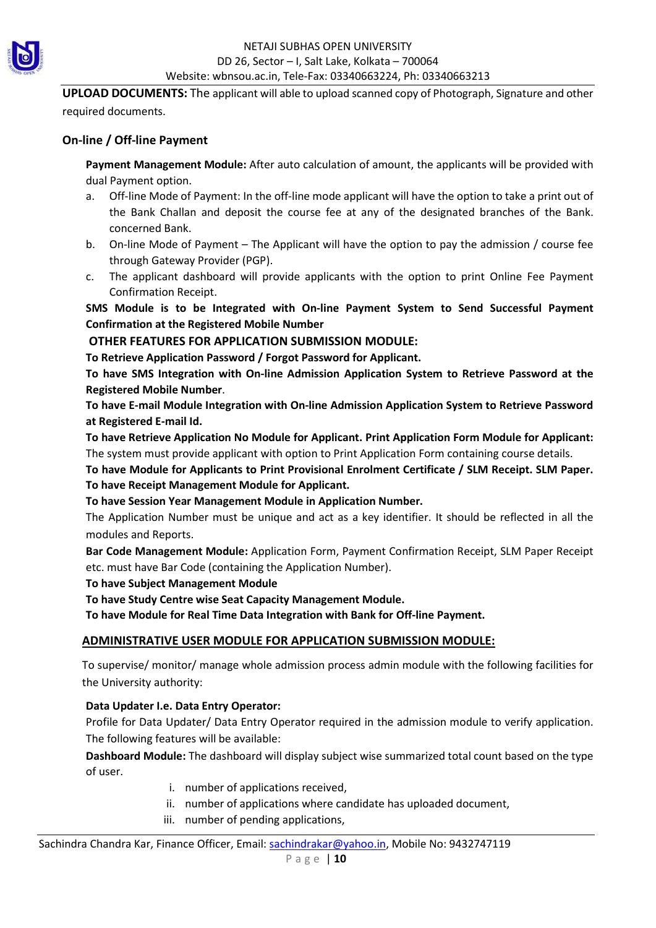

UPLOAD DOCUMENTS: The applicant will able to upload scanned copy of Photograph, Signature and other required documents.

### On-line / Off-line Payment

Payment Management Module: After auto calculation of amount, the applicants will be provided with dual Payment option.

- a. Off-line Mode of Payment: In the off-line mode applicant will have the option to take a print out of the Bank Challan and deposit the course fee at any of the designated branches of the Bank. concerned Bank.
- b. On-line Mode of Payment The Applicant will have the option to pay the admission / course fee through Gateway Provider (PGP).
- c. The applicant dashboard will provide applicants with the option to print Online Fee Payment Confirmation Receipt.

SMS Module is to be Integrated with On-line Payment System to Send Successful Payment Confirmation at the Registered Mobile Number

### OTHER FEATURES FOR APPLICATION SUBMISSION MODULE:

To Retrieve Application Password / Forgot Password for Applicant.

To have SMS Integration with On-line Admission Application System to Retrieve Password at the Registered Mobile Number.

To have E-mail Module Integration with On-line Admission Application System to Retrieve Password at Registered E-mail Id.

To have Retrieve Application No Module for Applicant. Print Application Form Module for Applicant: The system must provide applicant with option to Print Application Form containing course details.

To have Module for Applicants to Print Provisional Enrolment Certificate / SLM Receipt. SLM Paper. To have Receipt Management Module for Applicant.

### To have Session Year Management Module in Application Number.

The Application Number must be unique and act as a key identifier. It should be reflected in all the modules and Reports.

Bar Code Management Module: Application Form, Payment Confirmation Receipt, SLM Paper Receipt etc. must have Bar Code (containing the Application Number).

To have Subject Management Module

To have Study Centre wise Seat Capacity Management Module.

To have Module for Real Time Data Integration with Bank for Off-line Payment.

### ADMINISTRATIVE USER MODULE FOR APPLICATION SUBMISSION MODULE:

To supervise/ monitor/ manage whole admission process admin module with the following facilities for the University authority:

### Data Updater I.e. Data Entry Operator:

Profile for Data Updater/ Data Entry Operator required in the admission module to verify application. The following features will be available:

Dashboard Module: The dashboard will display subject wise summarized total count based on the type of user.

- i. number of applications received,
- ii. number of applications where candidate has uploaded document,
- iii. number of pending applications,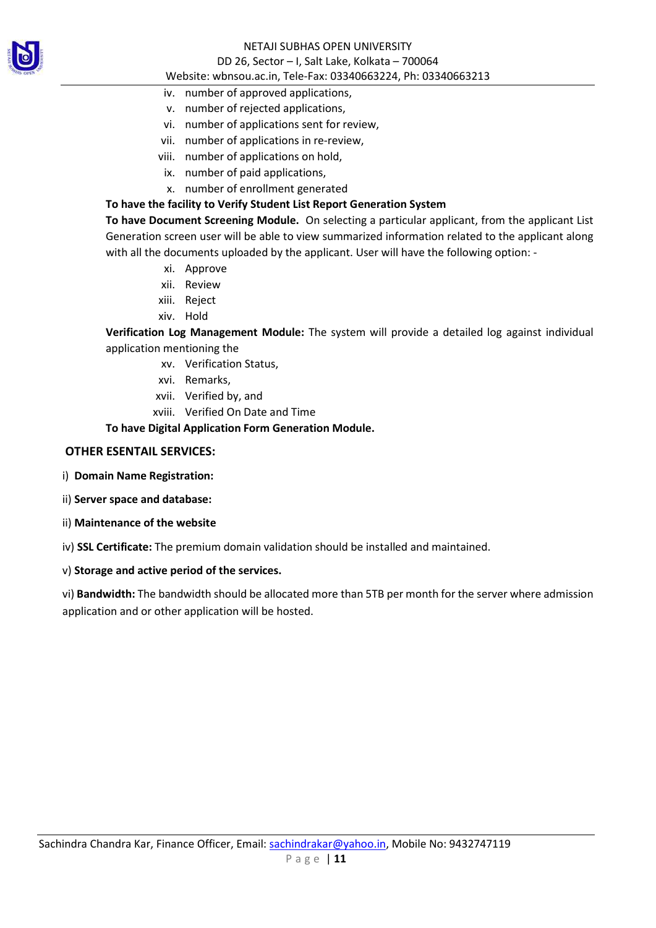

#### NETAJI SUBHAS OPEN UNIVERSITY

#### DD 26, Sector – I, Salt Lake, Kolkata – 700064

#### Website: wbnsou.ac.in, Tele-Fax: 03340663224, Ph: 03340663213

- iv. number of approved applications,
- v. number of rejected applications,
- vi. number of applications sent for review,
- vii. number of applications in re-review,
- viii. number of applications on hold,
	- ix. number of paid applications,
	- x. number of enrollment generated

### To have the facility to Verify Student List Report Generation System

To have Document Screening Module. On selecting a particular applicant, from the applicant List Generation screen user will be able to view summarized information related to the applicant along with all the documents uploaded by the applicant. User will have the following option: -

- xi. Approve
- xii. Review
- xiii. Reject
- xiv. Hold

Verification Log Management Module: The system will provide a detailed log against individual application mentioning the

- xv. Verification Status,
- xvi. Remarks,
- xvii. Verified by, and
- xviii. Verified On Date and Time

### To have Digital Application Form Generation Module.

### OTHER ESENTAIL SERVICES:

- i) Domain Name Registration:
- ii) Server space and database:
- ii) Maintenance of the website

iv) SSL Certificate: The premium domain validation should be installed and maintained.

### v) Storage and active period of the services.

vi) Bandwidth: The bandwidth should be allocated more than 5TB per month for the server where admission application and or other application will be hosted.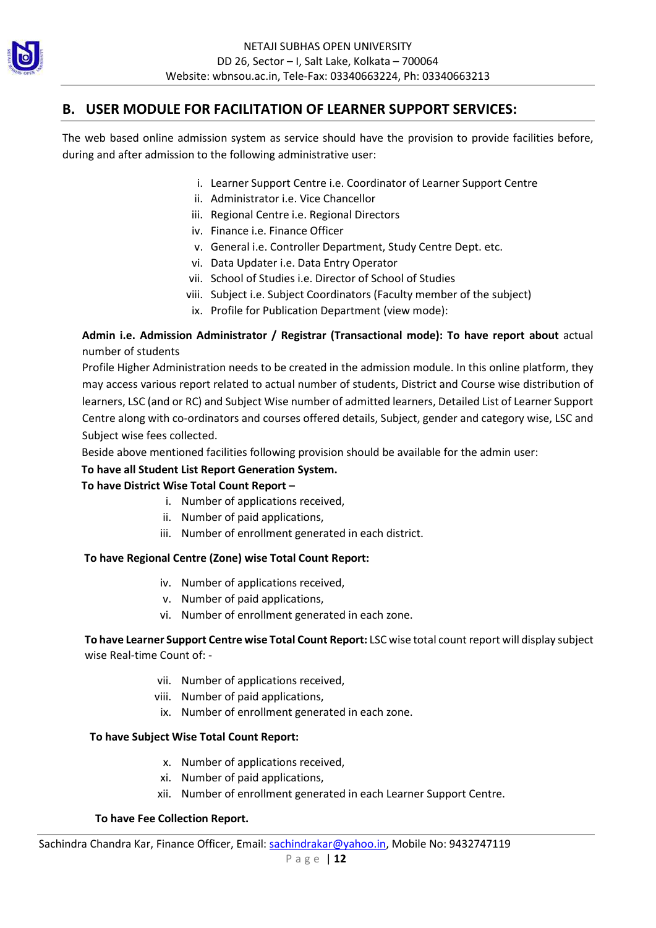

### B. USER MODULE FOR FACILITATION OF LEARNER SUPPORT SERVICES:

The web based online admission system as service should have the provision to provide facilities before, during and after admission to the following administrative user:

- i. Learner Support Centre i.e. Coordinator of Learner Support Centre
- ii. Administrator i.e. Vice Chancellor
- iii. Regional Centre i.e. Regional Directors
- iv. Finance i.e. Finance Officer
- v. General i.e. Controller Department, Study Centre Dept. etc.
- vi. Data Updater i.e. Data Entry Operator
- vii. School of Studies i.e. Director of School of Studies
- viii. Subject i.e. Subject Coordinators (Faculty member of the subject)
- ix. Profile for Publication Department (view mode):

Admin i.e. Admission Administrator / Registrar (Transactional mode): To have report about actual number of students

Profile Higher Administration needs to be created in the admission module. In this online platform, they may access various report related to actual number of students, District and Course wise distribution of learners, LSC (and or RC) and Subject Wise number of admitted learners, Detailed List of Learner Support Centre along with co-ordinators and courses offered details, Subject, gender and category wise, LSC and Subject wise fees collected.

Beside above mentioned facilities following provision should be available for the admin user:

### To have all Student List Report Generation System.

### To have District Wise Total Count Report –

- i. Number of applications received,
- ii. Number of paid applications,
- iii. Number of enrollment generated in each district.

### To have Regional Centre (Zone) wise Total Count Report:

- iv. Number of applications received,
- v. Number of paid applications,
- vi. Number of enrollment generated in each zone.

To have Learner Support Centre wise Total Count Report: LSC wise total count report will display subject wise Real-time Count of: -

- vii. Number of applications received,
- viii. Number of paid applications,
- ix. Number of enrollment generated in each zone.

#### To have Subject Wise Total Count Report:

- x. Number of applications received,
- xi. Number of paid applications,
- xii. Number of enrollment generated in each Learner Support Centre.

#### To have Fee Collection Report.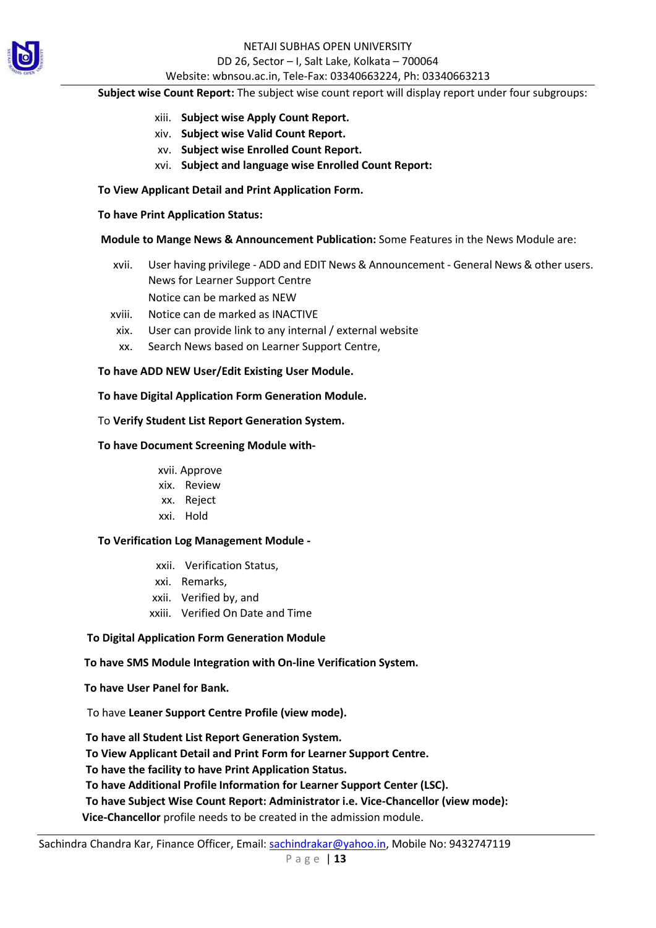

### NETAJI SUBHAS OPEN UNIVERSITY DD 26, Sector – I, Salt Lake, Kolkata – 700064

#### Website: wbnsou.ac.in, Tele-Fax: 03340663224, Ph: 03340663213

#### Subject wise Count Report: The subject wise count report will display report under four subgroups:

- xiii. Subject wise Apply Count Report.
- xiv. Subject wise Valid Count Report.
- xv. Subject wise Enrolled Count Report.
- xvi. Subject and language wise Enrolled Count Report:

#### To View Applicant Detail and Print Application Form.

#### To have Print Application Status:

### Module to Mange News & Announcement Publication: Some Features in the News Module are:

- xvii. User having privilege ADD and EDIT News & Announcement General News & other users. News for Learner Support Centre Notice can be marked as NEW
- xviii. Notice can de marked as INACTIVE
- xix. User can provide link to any internal / external website
- xx. Search News based on Learner Support Centre,

### To have ADD NEW User/Edit Existing User Module.

To have Digital Application Form Generation Module.

### To Verify Student List Report Generation System.

### To have Document Screening Module with-

xvii. Approve

- xix. Review
- xx. Reject
- xxi. Hold

#### To Verification Log Management Module -

- xxii. Verification Status,
- xxi. Remarks,
- xxii. Verified by, and
- xxiii. Verified On Date and Time

### To Digital Application Form Generation Module

### To have SMS Module Integration with On-line Verification System.

To have User Panel for Bank.

To have Leaner Support Centre Profile (view mode).

To have all Student List Report Generation System.

To View Applicant Detail and Print Form for Learner Support Centre.

To have the facility to have Print Application Status.

To have Additional Profile Information for Learner Support Center (LSC).

To have Subject Wise Count Report: Administrator i.e. Vice-Chancellor (view mode):

Vice-Chancellor profile needs to be created in the admission module.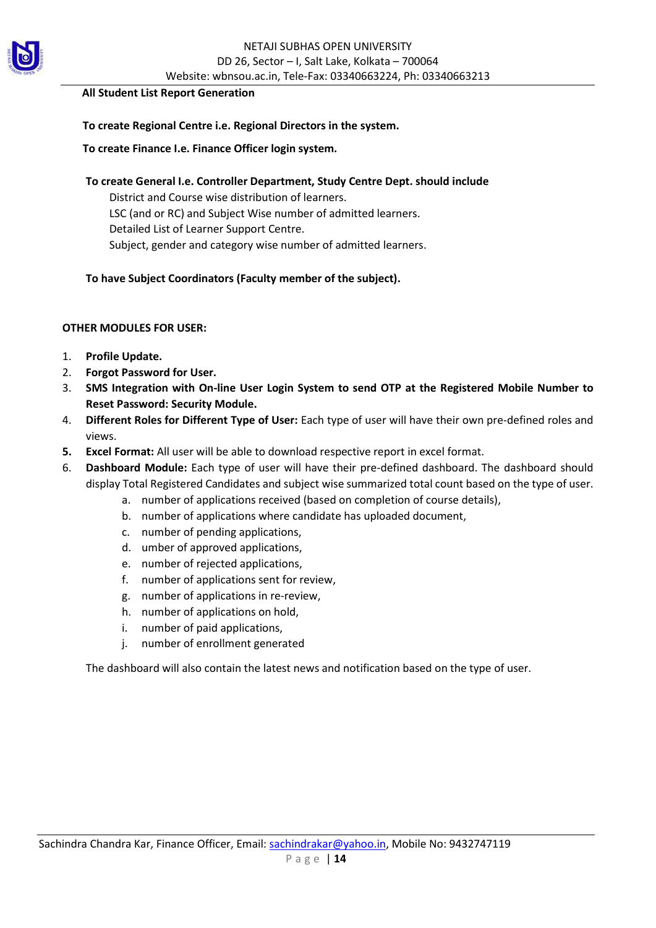

#### All Student List Report Generation

### To create Regional Centre i.e. Regional Directors in the system.

### To create Finance I.e. Finance Officer login system.

To create General I.e. Controller Department, Study Centre Dept. should include

District and Course wise distribution of learners. LSC (and or RC) and Subject Wise number of admitted learners.

Detailed List of Learner Support Centre.

Subject, gender and category wise number of admitted learners.

### To have Subject Coordinators (Faculty member of the subject).

### OTHER MODULES FOR USER:

- 1. Profile Update.
- 2. Forgot Password for User.
- 3. SMS Integration with On-line User Login System to send OTP at the Registered Mobile Number to Reset Password: Security Module.
- 4. Different Roles for Different Type of User: Each type of user will have their own pre-defined roles and views.
- 5. Excel Format: All user will be able to download respective report in excel format.
- 6. Dashboard Module: Each type of user will have their pre-defined dashboard. The dashboard should display Total Registered Candidates and subject wise summarized total count based on the type of user.
	- a. number of applications received (based on completion of course details),
	- b. number of applications where candidate has uploaded document,
	- c. number of pending applications,
	- d. umber of approved applications,
	- e. number of rejected applications,
	- f. number of applications sent for review,
	- g. number of applications in re-review,
	- h. number of applications on hold,
	- i. number of paid applications,
	- j. number of enrollment generated

The dashboard will also contain the latest news and notification based on the type of user.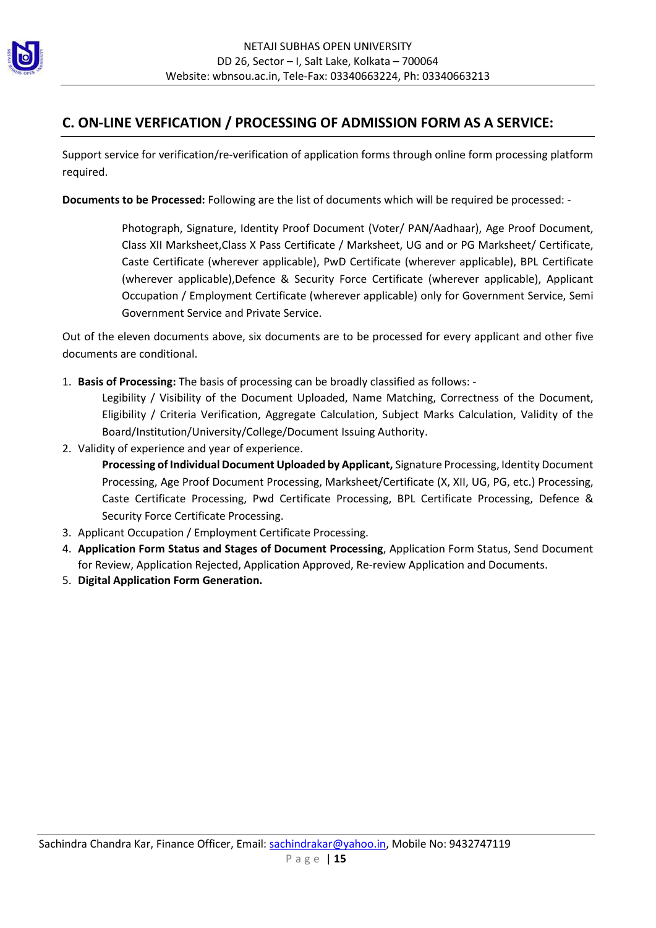

### C. ON-LINE VERFICATION / PROCESSING OF ADMISSION FORM AS A SERVICE:

Support service for verification/re-verification of application forms through online form processing platform required.

Documents to be Processed: Following are the list of documents which will be required be processed: -

Photograph, Signature, Identity Proof Document (Voter/ PAN/Aadhaar), Age Proof Document, Class XII Marksheet,Class X Pass Certificate / Marksheet, UG and or PG Marksheet/ Certificate, Caste Certificate (wherever applicable), PwD Certificate (wherever applicable), BPL Certificate (wherever applicable),Defence & Security Force Certificate (wherever applicable), Applicant Occupation / Employment Certificate (wherever applicable) only for Government Service, Semi Government Service and Private Service.

Out of the eleven documents above, six documents are to be processed for every applicant and other five documents are conditional.

- 1. Basis of Processing: The basis of processing can be broadly classified as follows: Legibility / Visibility of the Document Uploaded, Name Matching, Correctness of the Document, Eligibility / Criteria Verification, Aggregate Calculation, Subject Marks Calculation, Validity of the Board/Institution/University/College/Document Issuing Authority.
- 2. Validity of experience and year of experience.

Processing of Individual Document Uploaded by Applicant, Signature Processing, Identity Document Processing, Age Proof Document Processing, Marksheet/Certificate (X, XII, UG, PG, etc.) Processing, Caste Certificate Processing, Pwd Certificate Processing, BPL Certificate Processing, Defence & Security Force Certificate Processing.

- 3. Applicant Occupation / Employment Certificate Processing.
- 4. Application Form Status and Stages of Document Processing, Application Form Status, Send Document for Review, Application Rejected, Application Approved, Re-review Application and Documents.
- 5. Digital Application Form Generation.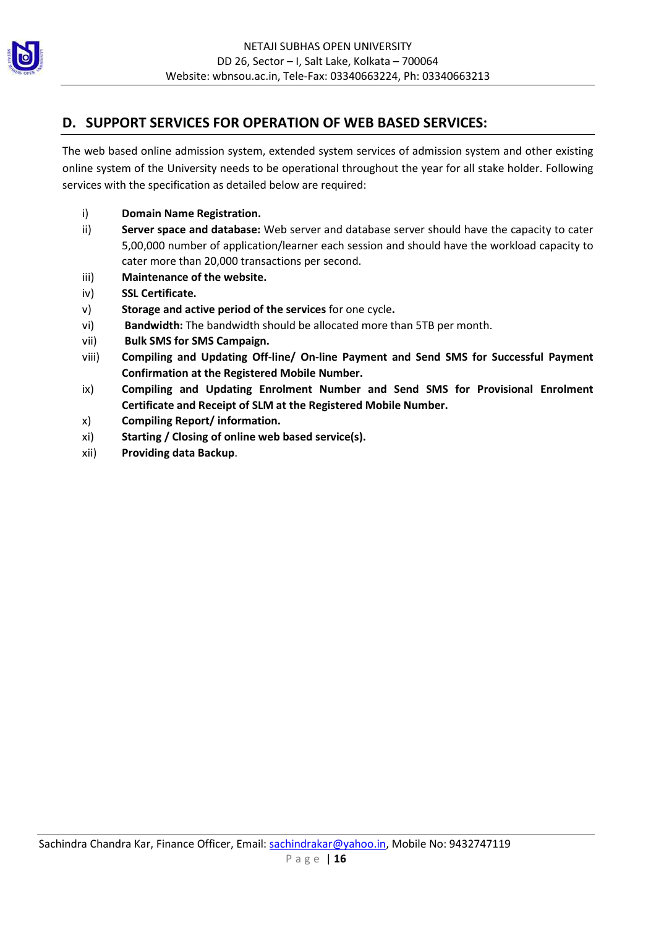

### D. SUPPORT SERVICES FOR OPERATION OF WEB BASED SERVICES:

The web based online admission system, extended system services of admission system and other existing online system of the University needs to be operational throughout the year for all stake holder. Following services with the specification as detailed below are required:

- i) Domain Name Registration.
- ii) Server space and database: Web server and database server should have the capacity to cater 5,00,000 number of application/learner each session and should have the workload capacity to cater more than 20,000 transactions per second.
- iii) Maintenance of the website.
- iv) SSL Certificate.
- v) Storage and active period of the services for one cycle.
- vi) Bandwidth: The bandwidth should be allocated more than 5TB per month.
- vii) Bulk SMS for SMS Campaign.
- viii) Compiling and Updating Off-line/ On-line Payment and Send SMS for Successful Payment Confirmation at the Registered Mobile Number.
- ix) Compiling and Updating Enrolment Number and Send SMS for Provisional Enrolment Certificate and Receipt of SLM at the Registered Mobile Number.
- x) Compiling Report/ information.
- xi) Starting / Closing of online web based service(s).
- xii) Providing data Backup.